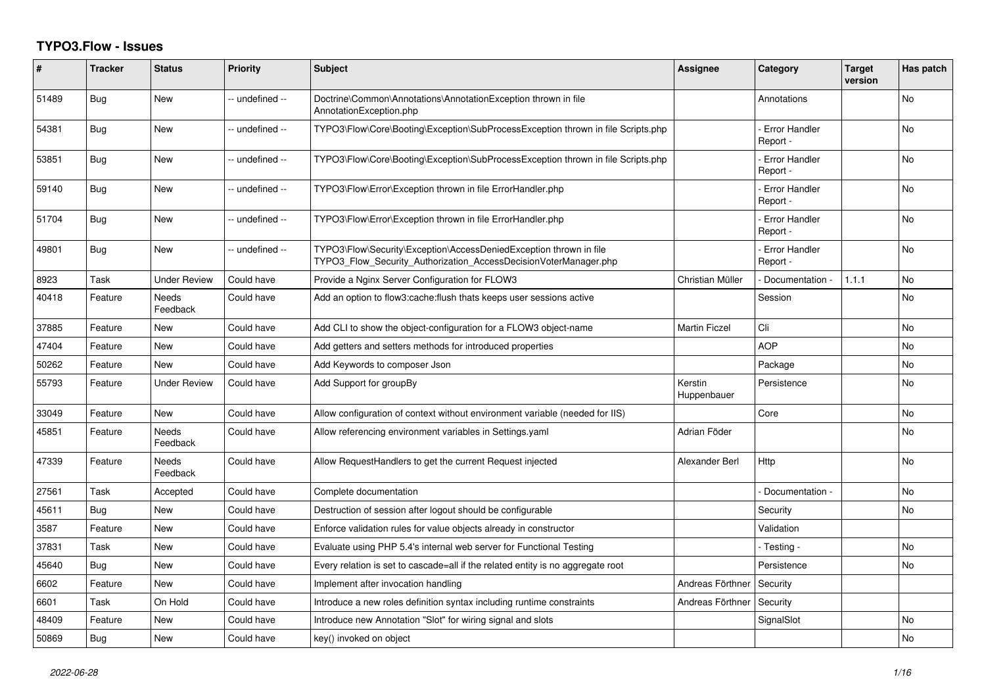## **TYPO3.Flow - Issues**

| #     | <b>Tracker</b> | <b>Status</b>            | <b>Priority</b> | <b>Subject</b>                                                                                                                         | <b>Assignee</b>        | Category                         | <b>Target</b><br>version | Has patch |
|-------|----------------|--------------------------|-----------------|----------------------------------------------------------------------------------------------------------------------------------------|------------------------|----------------------------------|--------------------------|-----------|
| 51489 | Bug            | New                      | -- undefined -- | Doctrine\Common\Annotations\AnnotationException thrown in file<br>AnnotationException.php                                              |                        | Annotations                      |                          | <b>No</b> |
| 54381 | Bug            | New                      | -- undefined -- | TYPO3\Flow\Core\Booting\Exception\SubProcessException thrown in file Scripts.php                                                       |                        | <b>Error Handler</b><br>Report - |                          | No        |
| 53851 | Bug            | <b>New</b>               | -- undefined -- | TYPO3\Flow\Core\Booting\Exception\SubProcessException thrown in file Scripts.php                                                       |                        | <b>Error Handler</b><br>Report - |                          | No        |
| 59140 | Bug            | New                      | -- undefined -- | TYPO3\Flow\Error\Exception thrown in file ErrorHandler.php                                                                             |                        | <b>Error Handler</b><br>Report - |                          | No        |
| 51704 | Bug            | New                      | -- undefined -- | TYPO3\Flow\Error\Exception thrown in file ErrorHandler.php                                                                             |                        | Error Handler<br>Report -        |                          | No        |
| 49801 | Bug            | <b>New</b>               | -- undefined -- | TYPO3\Flow\Security\Exception\AccessDeniedException thrown in file<br>TYPO3_Flow_Security_Authorization_AccessDecisionVoterManager.php |                        | <b>Error Handler</b><br>Report - |                          | <b>No</b> |
| 8923  | Task           | Under Review             | Could have      | Provide a Nginx Server Configuration for FLOW3                                                                                         | Christian Müller       | - Documentation                  | 1.1.1                    | <b>No</b> |
| 40418 | Feature        | <b>Needs</b><br>Feedback | Could have      | Add an option to flow3:cache:flush thats keeps user sessions active                                                                    |                        | Session                          |                          | <b>No</b> |
| 37885 | Feature        | New                      | Could have      | Add CLI to show the object-configuration for a FLOW3 object-name                                                                       | <b>Martin Ficzel</b>   | Cli                              |                          | <b>No</b> |
| 47404 | Feature        | New                      | Could have      | Add getters and setters methods for introduced properties                                                                              |                        | <b>AOP</b>                       |                          | No        |
| 50262 | Feature        | <b>New</b>               | Could have      | Add Keywords to composer Json                                                                                                          |                        | Package                          |                          | <b>No</b> |
| 55793 | Feature        | Under Review             | Could have      | Add Support for groupBy                                                                                                                | Kerstin<br>Huppenbauer | Persistence                      |                          | <b>No</b> |
| 33049 | Feature        | <b>New</b>               | Could have      | Allow configuration of context without environment variable (needed for IIS)                                                           |                        | Core                             |                          | <b>No</b> |
| 45851 | Feature        | Needs<br>Feedback        | Could have      | Allow referencing environment variables in Settings.yaml                                                                               | Adrian Föder           |                                  |                          | No        |
| 47339 | Feature        | Needs<br>Feedback        | Could have      | Allow RequestHandlers to get the current Request injected                                                                              | Alexander Berl         | Http                             |                          | <b>No</b> |
| 27561 | Task           | Accepted                 | Could have      | Complete documentation                                                                                                                 |                        | Documentation                    |                          | No        |
| 45611 | Bug            | <b>New</b>               | Could have      | Destruction of session after logout should be configurable                                                                             |                        | Security                         |                          | <b>No</b> |
| 3587  | Feature        | New                      | Could have      | Enforce validation rules for value objects already in constructor                                                                      |                        | Validation                       |                          |           |
| 37831 | Task           | New                      | Could have      | Evaluate using PHP 5.4's internal web server for Functional Testing                                                                    |                        | - Testing -                      |                          | No        |
| 45640 | Bug            | New                      | Could have      | Every relation is set to cascade=all if the related entity is no aggregate root                                                        |                        | Persistence                      |                          | <b>No</b> |
| 6602  | Feature        | <b>New</b>               | Could have      | Implement after invocation handling                                                                                                    | Andreas Förthner       | Security                         |                          |           |
| 6601  | Task           | On Hold                  | Could have      | Introduce a new roles definition syntax including runtime constraints                                                                  | Andreas Förthner       | Security                         |                          |           |
| 48409 | Feature        | New                      | Could have      | Introduce new Annotation "Slot" for wiring signal and slots                                                                            |                        | SignalSlot                       |                          | <b>No</b> |
| 50869 | Bug            | New                      | Could have      | key() invoked on object                                                                                                                |                        |                                  |                          | No        |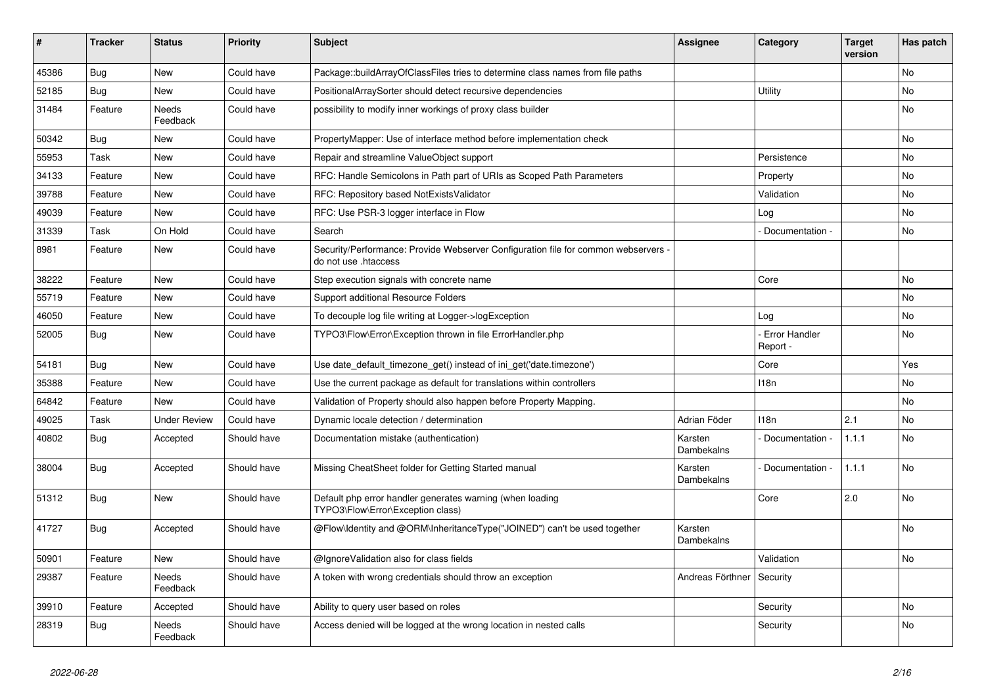| ∥ #   | <b>Tracker</b> | <b>Status</b>       | <b>Priority</b> | <b>Subject</b>                                                                                           | <b>Assignee</b>       | Category                    | <b>Target</b><br>version | Has patch |
|-------|----------------|---------------------|-----------------|----------------------------------------------------------------------------------------------------------|-----------------------|-----------------------------|--------------------------|-----------|
| 45386 | Bug            | <b>New</b>          | Could have      | Package::buildArrayOfClassFiles tries to determine class names from file paths                           |                       |                             |                          | <b>No</b> |
| 52185 | Bug            | <b>New</b>          | Could have      | PositionalArraySorter should detect recursive dependencies                                               |                       | <b>Utility</b>              |                          | <b>No</b> |
| 31484 | Feature        | Needs<br>Feedback   | Could have      | possibility to modify inner workings of proxy class builder                                              |                       |                             |                          | No        |
| 50342 | Bug            | <b>New</b>          | Could have      | PropertyMapper: Use of interface method before implementation check                                      |                       |                             |                          | <b>No</b> |
| 55953 | Task           | <b>New</b>          | Could have      | Repair and streamline ValueObject support                                                                |                       | Persistence                 |                          | No        |
| 34133 | Feature        | <b>New</b>          | Could have      | RFC: Handle Semicolons in Path part of URIs as Scoped Path Parameters                                    |                       | Property                    |                          | No        |
| 39788 | Feature        | <b>New</b>          | Could have      | RFC: Repository based NotExistsValidator                                                                 |                       | Validation                  |                          | <b>No</b> |
| 49039 | Feature        | <b>New</b>          | Could have      | RFC: Use PSR-3 logger interface in Flow                                                                  |                       | Log                         |                          | No        |
| 31339 | Task           | On Hold             | Could have      | Search                                                                                                   |                       | - Documentation -           |                          | <b>No</b> |
| 8981  | Feature        | <b>New</b>          | Could have      | Security/Performance: Provide Webserver Configuration file for common webservers<br>do not use .htaccess |                       |                             |                          |           |
| 38222 | Feature        | <b>New</b>          | Could have      | Step execution signals with concrete name                                                                |                       | Core                        |                          | No        |
| 55719 | Feature        | <b>New</b>          | Could have      | Support additional Resource Folders                                                                      |                       |                             |                          | No        |
| 46050 | Feature        | <b>New</b>          | Could have      | To decouple log file writing at Logger->logException                                                     |                       | Log                         |                          | No        |
| 52005 | <b>Bug</b>     | <b>New</b>          | Could have      | TYPO3\Flow\Error\Exception thrown in file ErrorHandler.php                                               |                       | - Error Handler<br>Report - |                          | No        |
| 54181 | Bug            | <b>New</b>          | Could have      | Use date_default_timezone_get() instead of ini_get('date.timezone')                                      |                       | Core                        |                          | Yes       |
| 35388 | Feature        | <b>New</b>          | Could have      | Use the current package as default for translations within controllers                                   |                       | 118n                        |                          | <b>No</b> |
| 64842 | Feature        | <b>New</b>          | Could have      | Validation of Property should also happen before Property Mapping.                                       |                       |                             |                          | <b>No</b> |
| 49025 | Task           | <b>Under Review</b> | Could have      | Dynamic locale detection / determination                                                                 | Adrian Föder          | 118 <sub>n</sub>            | 2.1                      | <b>No</b> |
| 40802 | Bug            | Accepted            | Should have     | Documentation mistake (authentication)                                                                   | Karsten<br>Dambekalns | Documentation -             | 1.1.1                    | <b>No</b> |
| 38004 | <b>Bug</b>     | Accepted            | Should have     | Missing CheatSheet folder for Getting Started manual                                                     | Karsten<br>Dambekalns | Documentation -             | 1.1.1                    | No        |
| 51312 | <b>Bug</b>     | <b>New</b>          | Should have     | Default php error handler generates warning (when loading<br>TYPO3\Flow\Error\Exception class)           |                       | Core                        | 2.0                      | <b>No</b> |
| 41727 | Bug            | Accepted            | Should have     | @Flow\Identity and @ORM\InheritanceType("JOINED") can't be used together                                 | Karsten<br>Dambekalns |                             |                          | <b>No</b> |
| 50901 | Feature        | <b>New</b>          | Should have     | @IgnoreValidation also for class fields                                                                  |                       | Validation                  |                          | No        |
| 29387 | Feature        | Needs<br>Feedback   | Should have     | A token with wrong credentials should throw an exception                                                 | Andreas Förthner      | Security                    |                          |           |
| 39910 | Feature        | Accepted            | Should have     | Ability to query user based on roles                                                                     |                       | Security                    |                          | No        |
| 28319 | <b>Bug</b>     | Needs<br>Feedback   | Should have     | Access denied will be logged at the wrong location in nested calls                                       |                       | Security                    |                          | No        |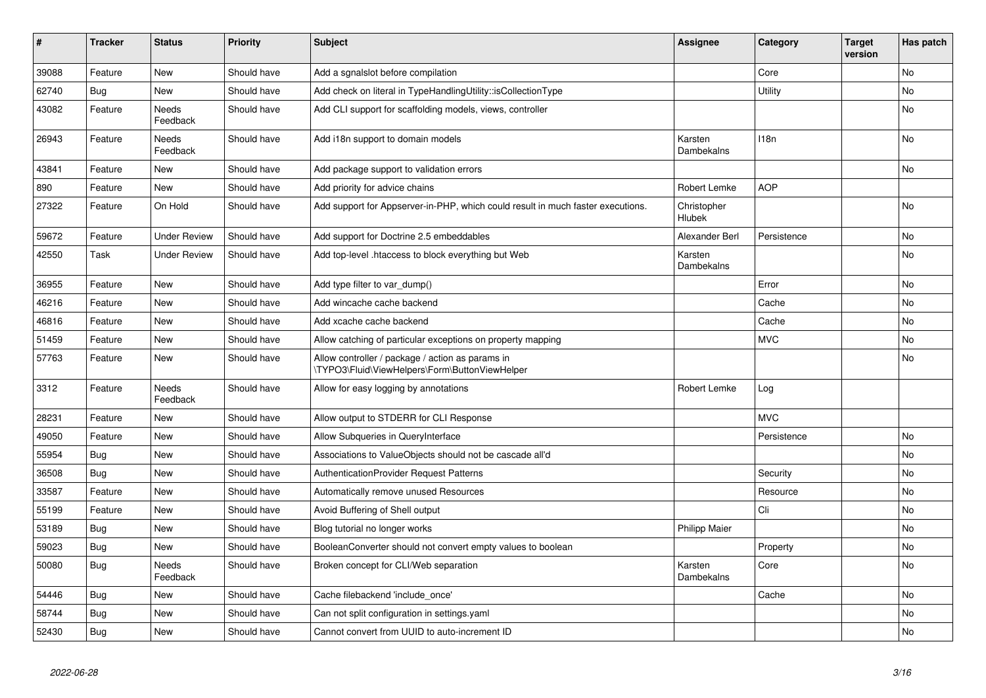| #     | <b>Tracker</b> | <b>Status</b>            | <b>Priority</b> | <b>Subject</b>                                                                                    | Assignee              | Category         | <b>Target</b><br>version | Has patch |
|-------|----------------|--------------------------|-----------------|---------------------------------------------------------------------------------------------------|-----------------------|------------------|--------------------------|-----------|
| 39088 | Feature        | New                      | Should have     | Add a sgnalslot before compilation                                                                |                       | Core             |                          | <b>No</b> |
| 62740 | Bug            | <b>New</b>               | Should have     | Add check on literal in TypeHandlingUtility::isCollectionType                                     |                       | Utility          |                          | No        |
| 43082 | Feature        | Needs<br>Feedback        | Should have     | Add CLI support for scaffolding models, views, controller                                         |                       |                  |                          | No        |
| 26943 | Feature        | <b>Needs</b><br>Feedback | Should have     | Add i18n support to domain models                                                                 | Karsten<br>Dambekalns | 118 <sub>n</sub> |                          | <b>No</b> |
| 43841 | Feature        | <b>New</b>               | Should have     | Add package support to validation errors                                                          |                       |                  |                          | No        |
| 890   | Feature        | <b>New</b>               | Should have     | Add priority for advice chains                                                                    | Robert Lemke          | <b>AOP</b>       |                          |           |
| 27322 | Feature        | On Hold                  | Should have     | Add support for Appserver-in-PHP, which could result in much faster executions.                   | Christopher<br>Hlubek |                  |                          | <b>No</b> |
| 59672 | Feature        | <b>Under Review</b>      | Should have     | Add support for Doctrine 2.5 embeddables                                                          | Alexander Berl        | Persistence      |                          | <b>No</b> |
| 42550 | Task           | <b>Under Review</b>      | Should have     | Add top-level .htaccess to block everything but Web                                               | Karsten<br>Dambekalns |                  |                          | No        |
| 36955 | Feature        | New                      | Should have     | Add type filter to var_dump()                                                                     |                       | Error            |                          | <b>No</b> |
| 46216 | Feature        | New                      | Should have     | Add wincache cache backend                                                                        |                       | Cache            |                          | No        |
| 46816 | Feature        | <b>New</b>               | Should have     | Add xcache cache backend                                                                          |                       | Cache            |                          | No        |
| 51459 | Feature        | <b>New</b>               | Should have     | Allow catching of particular exceptions on property mapping                                       |                       | <b>MVC</b>       |                          | No        |
| 57763 | Feature        | <b>New</b>               | Should have     | Allow controller / package / action as params in<br>TYPO3\Fluid\ViewHelpers\Form\ButtonViewHelper |                       |                  |                          | No        |
| 3312  | Feature        | Needs<br>Feedback        | Should have     | Allow for easy logging by annotations                                                             | Robert Lemke          | Log              |                          |           |
| 28231 | Feature        | <b>New</b>               | Should have     | Allow output to STDERR for CLI Response                                                           |                       | <b>MVC</b>       |                          |           |
| 49050 | Feature        | New                      | Should have     | Allow Subqueries in QueryInterface                                                                |                       | Persistence      |                          | No        |
| 55954 | Bug            | <b>New</b>               | Should have     | Associations to ValueObjects should not be cascade all'd                                          |                       |                  |                          | <b>No</b> |
| 36508 | Bug            | New                      | Should have     | <b>AuthenticationProvider Request Patterns</b>                                                    |                       | Security         |                          | No        |
| 33587 | Feature        | <b>New</b>               | Should have     | Automatically remove unused Resources                                                             |                       | Resource         |                          | No        |
| 55199 | Feature        | <b>New</b>               | Should have     | Avoid Buffering of Shell output                                                                   |                       | Cli              |                          | No        |
| 53189 | Bug            | <b>New</b>               | Should have     | Blog tutorial no longer works                                                                     | <b>Philipp Maier</b>  |                  |                          | <b>No</b> |
| 59023 | Bug            | New                      | Should have     | BooleanConverter should not convert empty values to boolean                                       |                       | Property         |                          | No        |
| 50080 | <b>Bug</b>     | Needs<br>Feedback        | Should have     | Broken concept for CLI/Web separation                                                             | Karsten<br>Dambekalns | Core             |                          | No        |
| 54446 | Bug            | <b>New</b>               | Should have     | Cache filebackend 'include once'                                                                  |                       | Cache            |                          | <b>No</b> |
| 58744 | Bug            | <b>New</b>               | Should have     | Can not split configuration in settings yaml                                                      |                       |                  |                          | <b>No</b> |
| 52430 | Bug            | <b>New</b>               | Should have     | Cannot convert from UUID to auto-increment ID                                                     |                       |                  |                          | No        |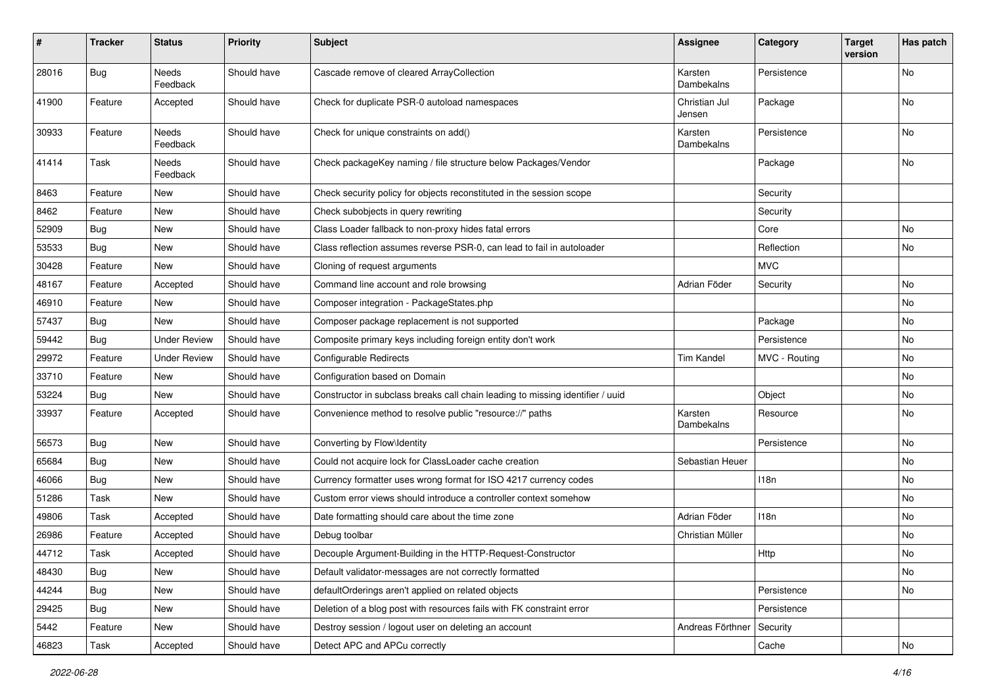| $\sharp$ | Tracker    | <b>Status</b>       | <b>Priority</b> | <b>Subject</b>                                                                 | <b>Assignee</b>         | Category      | <b>Target</b><br>version | Has patch |
|----------|------------|---------------------|-----------------|--------------------------------------------------------------------------------|-------------------------|---------------|--------------------------|-----------|
| 28016    | Bug        | Needs<br>Feedback   | Should have     | Cascade remove of cleared ArrayCollection                                      | Karsten<br>Dambekalns   | Persistence   |                          | No        |
| 41900    | Feature    | Accepted            | Should have     | Check for duplicate PSR-0 autoload namespaces                                  | Christian Jul<br>Jensen | Package       |                          | No        |
| 30933    | Feature    | Needs<br>Feedback   | Should have     | Check for unique constraints on add()                                          | Karsten<br>Dambekalns   | Persistence   |                          | No        |
| 41414    | Task       | Needs<br>Feedback   | Should have     | Check packageKey naming / file structure below Packages/Vendor                 |                         | Package       |                          | No        |
| 8463     | Feature    | New                 | Should have     | Check security policy for objects reconstituted in the session scope           |                         | Security      |                          |           |
| 8462     | Feature    | New                 | Should have     | Check subobjects in query rewriting                                            |                         | Security      |                          |           |
| 52909    | Bug        | New                 | Should have     | Class Loader fallback to non-proxy hides fatal errors                          |                         | Core          |                          | No        |
| 53533    | Bug        | New                 | Should have     | Class reflection assumes reverse PSR-0, can lead to fail in autoloader         |                         | Reflection    |                          | No        |
| 30428    | Feature    | New                 | Should have     | Cloning of request arguments                                                   |                         | <b>MVC</b>    |                          |           |
| 48167    | Feature    | Accepted            | Should have     | Command line account and role browsing                                         | Adrian Föder            | Security      |                          | No.       |
| 46910    | Feature    | New                 | Should have     | Composer integration - PackageStates.php                                       |                         |               |                          | No        |
| 57437    | Bug        | New                 | Should have     | Composer package replacement is not supported                                  |                         | Package       |                          | No        |
| 59442    | <b>Bug</b> | <b>Under Review</b> | Should have     | Composite primary keys including foreign entity don't work                     |                         | Persistence   |                          | No        |
| 29972    | Feature    | <b>Under Review</b> | Should have     | <b>Configurable Redirects</b>                                                  | <b>Tim Kandel</b>       | MVC - Routing |                          | No        |
| 33710    | Feature    | New                 | Should have     | Configuration based on Domain                                                  |                         |               |                          | No        |
| 53224    | Bug        | New                 | Should have     | Constructor in subclass breaks call chain leading to missing identifier / uuid |                         | Object        |                          | No        |
| 33937    | Feature    | Accepted            | Should have     | Convenience method to resolve public "resource://" paths                       | Karsten<br>Dambekalns   | Resource      |                          | No        |
| 56573    | Bug        | New                 | Should have     | Converting by Flow\Identity                                                    |                         | Persistence   |                          | No        |
| 65684    | Bug        | New                 | Should have     | Could not acquire lock for ClassLoader cache creation                          | Sebastian Heuer         |               |                          | No        |
| 46066    | Bug        | New                 | Should have     | Currency formatter uses wrong format for ISO 4217 currency codes               |                         | 118n          |                          | No        |
| 51286    | Task       | New                 | Should have     | Custom error views should introduce a controller context somehow               |                         |               |                          | No        |
| 49806    | Task       | Accepted            | Should have     | Date formatting should care about the time zone                                | Adrian Föder            | 118n          |                          | No        |
| 26986    | Feature    | Accepted            | Should have     | Debug toolbar                                                                  | Christian Müller        |               |                          | No        |
| 44712    | Task       | Accepted            | Should have     | Decouple Argument-Building in the HTTP-Request-Constructor                     |                         | Http          |                          | No        |
| 48430    | Bug        | New                 | Should have     | Default validator-messages are not correctly formatted                         |                         |               |                          | No        |
| 44244    | Bug        | New                 | Should have     | defaultOrderings aren't applied on related objects                             |                         | Persistence   |                          | No        |
| 29425    | <b>Bug</b> | New                 | Should have     | Deletion of a blog post with resources fails with FK constraint error          |                         | Persistence   |                          |           |
| 5442     | Feature    | New                 | Should have     | Destroy session / logout user on deleting an account                           | Andreas Förthner        | Security      |                          |           |
| 46823    | Task       | Accepted            | Should have     | Detect APC and APCu correctly                                                  |                         | Cache         |                          | No        |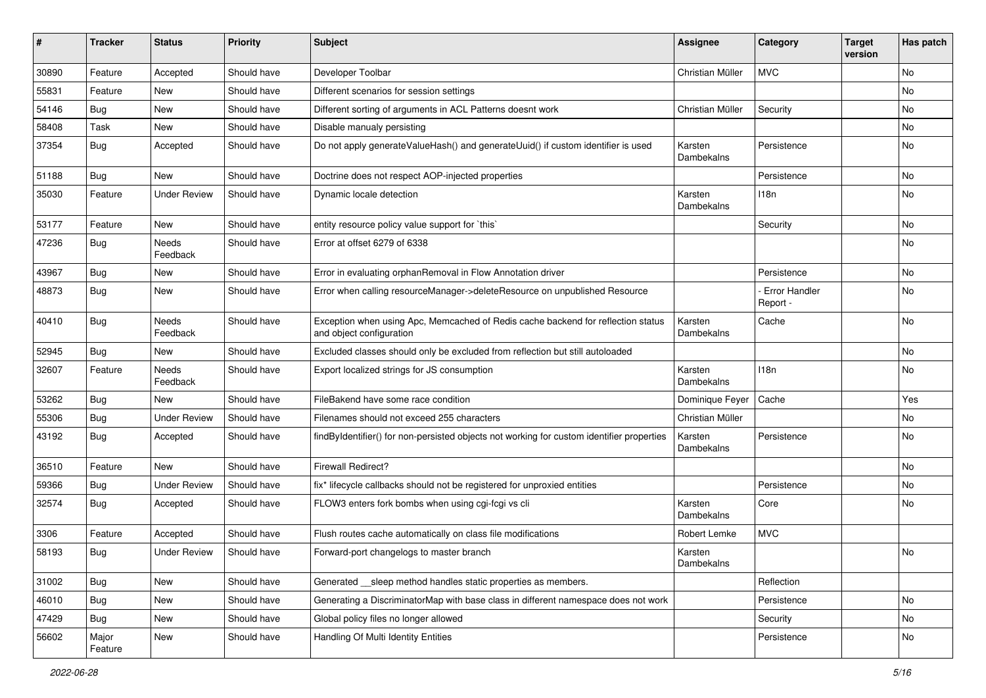| ∦     | <b>Tracker</b>   | <b>Status</b>       | <b>Priority</b> | <b>Subject</b>                                                                                               | <b>Assignee</b>       | Category                  | <b>Target</b><br>version | Has patch |
|-------|------------------|---------------------|-----------------|--------------------------------------------------------------------------------------------------------------|-----------------------|---------------------------|--------------------------|-----------|
| 30890 | Feature          | Accepted            | Should have     | Developer Toolbar                                                                                            | Christian Müller      | <b>MVC</b>                |                          | No        |
| 55831 | Feature          | <b>New</b>          | Should have     | Different scenarios for session settings                                                                     |                       |                           |                          | No        |
| 54146 | <b>Bug</b>       | New                 | Should have     | Different sorting of arguments in ACL Patterns doesnt work                                                   | Christian Müller      | Security                  |                          | No        |
| 58408 | Task             | New                 | Should have     | Disable manualy persisting                                                                                   |                       |                           |                          | No        |
| 37354 | <b>Bug</b>       | Accepted            | Should have     | Do not apply generateValueHash() and generateUuid() if custom identifier is used                             | Karsten<br>Dambekalns | Persistence               |                          | No        |
| 51188 | Bug              | New                 | Should have     | Doctrine does not respect AOP-injected properties                                                            |                       | Persistence               |                          | No        |
| 35030 | Feature          | <b>Under Review</b> | Should have     | Dynamic locale detection                                                                                     | Karsten<br>Dambekalns | 118n                      |                          | No        |
| 53177 | Feature          | <b>New</b>          | Should have     | entity resource policy value support for `this`                                                              |                       | Security                  |                          | No        |
| 47236 | <b>Bug</b>       | Needs<br>Feedback   | Should have     | Error at offset 6279 of 6338                                                                                 |                       |                           |                          | No        |
| 43967 | Bug              | New                 | Should have     | Error in evaluating orphanRemoval in Flow Annotation driver                                                  |                       | Persistence               |                          | <b>No</b> |
| 48873 | <b>Bug</b>       | New                 | Should have     | Error when calling resourceManager->deleteResource on unpublished Resource                                   |                       | Error Handler<br>Report - |                          | No        |
| 40410 | Bug              | Needs<br>Feedback   | Should have     | Exception when using Apc, Memcached of Redis cache backend for reflection status<br>and object configuration | Karsten<br>Dambekalns | Cache                     |                          | No        |
| 52945 | Bug              | New                 | Should have     | Excluded classes should only be excluded from reflection but still autoloaded                                |                       |                           |                          | No        |
| 32607 | Feature          | Needs<br>Feedback   | Should have     | Export localized strings for JS consumption                                                                  | Karsten<br>Dambekalns | 118n                      |                          | No        |
| 53262 | Bug              | <b>New</b>          | Should have     | FileBakend have some race condition                                                                          | Dominique Feyer       | Cache                     |                          | Yes       |
| 55306 | <b>Bug</b>       | <b>Under Review</b> | Should have     | Filenames should not exceed 255 characters                                                                   | Christian Müller      |                           |                          | No        |
| 43192 | Bug              | Accepted            | Should have     | findByIdentifier() for non-persisted objects not working for custom identifier properties                    | Karsten<br>Dambekalns | Persistence               |                          | No        |
| 36510 | Feature          | New                 | Should have     | <b>Firewall Redirect?</b>                                                                                    |                       |                           |                          | <b>No</b> |
| 59366 | Bug              | <b>Under Review</b> | Should have     | fix* lifecycle callbacks should not be registered for unproxied entities                                     |                       | Persistence               |                          | No        |
| 32574 | <b>Bug</b>       | Accepted            | Should have     | FLOW3 enters fork bombs when using cgi-fcgi vs cli                                                           | Karsten<br>Dambekalns | Core                      |                          | No        |
| 3306  | Feature          | Accepted            | Should have     | Flush routes cache automatically on class file modifications                                                 | Robert Lemke          | <b>MVC</b>                |                          |           |
| 58193 | <b>Bug</b>       | <b>Under Review</b> | Should have     | Forward-port changelogs to master branch                                                                     | Karsten<br>Dambekalns |                           |                          | No        |
| 31002 | <b>Bug</b>       | New                 | Should have     | Generated sleep method handles static properties as members.                                                 |                       | Reflection                |                          |           |
| 46010 | <b>Bug</b>       | New                 | Should have     | Generating a DiscriminatorMap with base class in different namespace does not work                           |                       | Persistence               |                          | No        |
| 47429 | <b>Bug</b>       | New                 | Should have     | Global policy files no longer allowed                                                                        |                       | Security                  |                          | No        |
| 56602 | Major<br>Feature | New                 | Should have     | Handling Of Multi Identity Entities                                                                          |                       | Persistence               |                          | No        |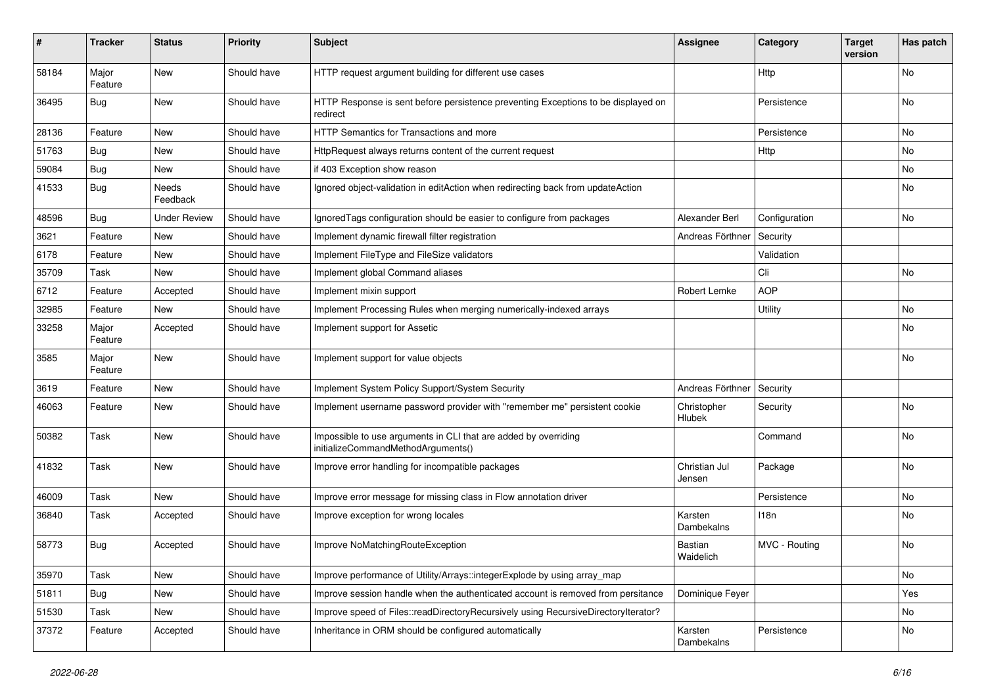| #     | <b>Tracker</b>   | <b>Status</b>       | <b>Priority</b> | <b>Subject</b>                                                                                        | <b>Assignee</b>              | Category      | <b>Target</b><br>version | Has patch |
|-------|------------------|---------------------|-----------------|-------------------------------------------------------------------------------------------------------|------------------------------|---------------|--------------------------|-----------|
| 58184 | Major<br>Feature | New                 | Should have     | HTTP request argument building for different use cases                                                |                              | Http          |                          | No        |
| 36495 | Bug              | New                 | Should have     | HTTP Response is sent before persistence preventing Exceptions to be displayed on<br>redirect         |                              | Persistence   |                          | No        |
| 28136 | Feature          | New                 | Should have     | HTTP Semantics for Transactions and more                                                              |                              | Persistence   |                          | No        |
| 51763 | Bug              | New                 | Should have     | HttpRequest always returns content of the current request                                             |                              | Http          |                          | No.       |
| 59084 | <b>Bug</b>       | New                 | Should have     | if 403 Exception show reason                                                                          |                              |               |                          | No        |
| 41533 | Bug              | Needs<br>Feedback   | Should have     | Ignored object-validation in editAction when redirecting back from updateAction                       |                              |               |                          | No        |
| 48596 | Bug              | <b>Under Review</b> | Should have     | Ignored Tags configuration should be easier to configure from packages                                | Alexander Berl               | Configuration |                          | No.       |
| 3621  | Feature          | New                 | Should have     | Implement dynamic firewall filter registration                                                        | Andreas Förthner             | Security      |                          |           |
| 6178  | Feature          | New                 | Should have     | Implement FileType and FileSize validators                                                            |                              | Validation    |                          |           |
| 35709 | Task             | New                 | Should have     | Implement global Command aliases                                                                      |                              | Cli           |                          | No        |
| 6712  | Feature          | Accepted            | Should have     | Implement mixin support                                                                               | Robert Lemke                 | <b>AOP</b>    |                          |           |
| 32985 | Feature          | New                 | Should have     | Implement Processing Rules when merging numerically-indexed arrays                                    |                              | Utility       |                          | No        |
| 33258 | Major<br>Feature | Accepted            | Should have     | Implement support for Assetic                                                                         |                              |               |                          | <b>No</b> |
| 3585  | Major<br>Feature | New                 | Should have     | Implement support for value objects                                                                   |                              |               |                          | <b>No</b> |
| 3619  | Feature          | New                 | Should have     | Implement System Policy Support/System Security                                                       | Andreas Förthner             | Security      |                          |           |
| 46063 | Feature          | New                 | Should have     | Implement username password provider with "remember me" persistent cookie                             | Christopher<br><b>Hlubek</b> | Security      |                          | No        |
| 50382 | Task             | New                 | Should have     | Impossible to use arguments in CLI that are added by overriding<br>initializeCommandMethodArguments() |                              | Command       |                          | No        |
| 41832 | Task             | <b>New</b>          | Should have     | Improve error handling for incompatible packages                                                      | Christian Jul<br>Jensen      | Package       |                          | <b>No</b> |
| 46009 | Task             | New                 | Should have     | Improve error message for missing class in Flow annotation driver                                     |                              | Persistence   |                          | No.       |
| 36840 | Task             | Accepted            | Should have     | Improve exception for wrong locales                                                                   | Karsten<br>Dambekalns        | 118n          |                          | No        |
| 58773 | Bug              | Accepted            | Should have     | Improve NoMatchingRouteException                                                                      | Bastian<br>Waidelich         | MVC - Routing |                          | No        |
| 35970 | Task             | New                 | Should have     | Improve performance of Utility/Arrays::integerExplode by using array_map                              |                              |               |                          | No        |
| 51811 | Bug              | New                 | Should have     | Improve session handle when the authenticated account is removed from persitance                      | Dominique Feyer              |               |                          | Yes       |
| 51530 | Task             | New                 | Should have     | Improve speed of Files::readDirectoryRecursively using RecursiveDirectoryIterator?                    |                              |               |                          | No        |
| 37372 | Feature          | Accepted            | Should have     | Inheritance in ORM should be configured automatically                                                 | Karsten<br>Dambekalns        | Persistence   |                          | No        |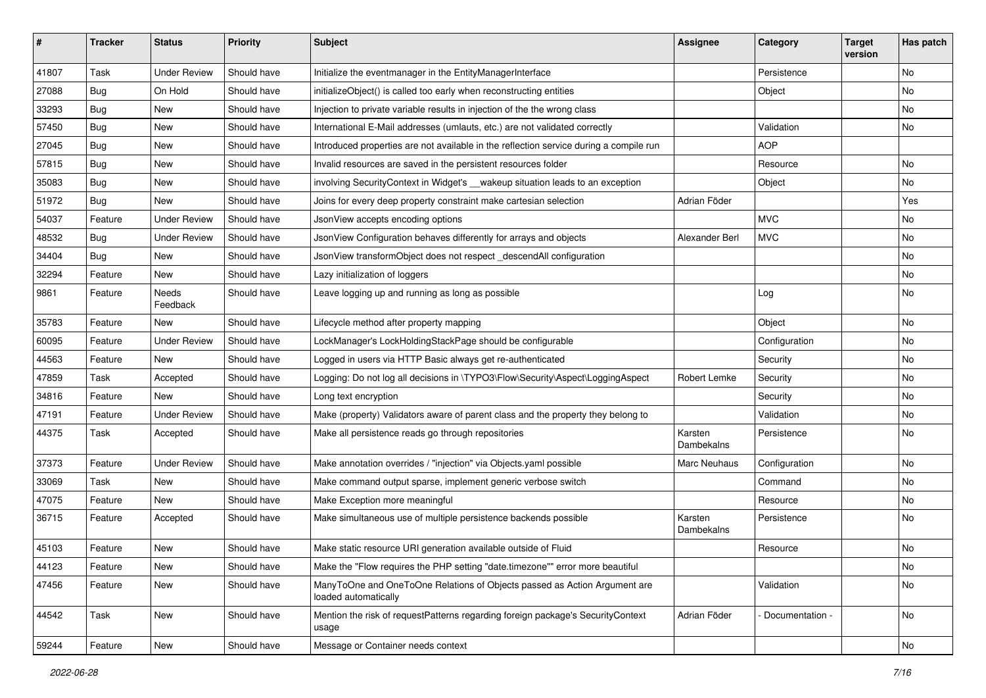| #     | <b>Tracker</b> | <b>Status</b>       | <b>Priority</b> | Subject                                                                                           | <b>Assignee</b>       | Category        | <b>Target</b><br>version | Has patch |
|-------|----------------|---------------------|-----------------|---------------------------------------------------------------------------------------------------|-----------------------|-----------------|--------------------------|-----------|
| 41807 | Task           | <b>Under Review</b> | Should have     | Initialize the eventmanager in the EntityManagerInterface                                         |                       | Persistence     |                          | No        |
| 27088 | <b>Bug</b>     | On Hold             | Should have     | initializeObject() is called too early when reconstructing entities                               |                       | Object          |                          | No        |
| 33293 | <b>Bug</b>     | New                 | Should have     | Injection to private variable results in injection of the the wrong class                         |                       |                 |                          | No        |
| 57450 | <b>Bug</b>     | New                 | Should have     | International E-Mail addresses (umlauts, etc.) are not validated correctly                        |                       | Validation      |                          | No        |
| 27045 | <b>Bug</b>     | New                 | Should have     | Introduced properties are not available in the reflection service during a compile run            |                       | <b>AOP</b>      |                          |           |
| 57815 | <b>Bug</b>     | <b>New</b>          | Should have     | Invalid resources are saved in the persistent resources folder                                    |                       | Resource        |                          | <b>No</b> |
| 35083 | <b>Bug</b>     | New                 | Should have     | involving SecurityContext in Widget's __wakeup situation leads to an exception                    |                       | Object          |                          | No        |
| 51972 | <b>Bug</b>     | New                 | Should have     | Joins for every deep property constraint make cartesian selection                                 | Adrian Föder          |                 |                          | Yes       |
| 54037 | Feature        | <b>Under Review</b> | Should have     | JsonView accepts encoding options                                                                 |                       | <b>MVC</b>      |                          | No        |
| 48532 | <b>Bug</b>     | <b>Under Review</b> | Should have     | JsonView Configuration behaves differently for arrays and objects                                 | Alexander Berl        | <b>MVC</b>      |                          | No        |
| 34404 | <b>Bug</b>     | New                 | Should have     | JsonView transformObject does not respect_descendAll configuration                                |                       |                 |                          | No        |
| 32294 | Feature        | New                 | Should have     | Lazy initialization of loggers                                                                    |                       |                 |                          | No        |
| 9861  | Feature        | Needs<br>Feedback   | Should have     | Leave logging up and running as long as possible                                                  |                       | Log             |                          | No        |
| 35783 | Feature        | New                 | Should have     | Lifecycle method after property mapping                                                           |                       | Object          |                          | No        |
| 60095 | Feature        | <b>Under Review</b> | Should have     | LockManager's LockHoldingStackPage should be configurable                                         |                       | Configuration   |                          | No        |
| 44563 | Feature        | New                 | Should have     | Logged in users via HTTP Basic always get re-authenticated                                        |                       | Security        |                          | No        |
| 47859 | Task           | Accepted            | Should have     | Logging: Do not log all decisions in \TYPO3\Flow\Security\Aspect\LoggingAspect                    | Robert Lemke          | Security        |                          | No        |
| 34816 | Feature        | <b>New</b>          | Should have     | Long text encryption                                                                              |                       | Security        |                          | No        |
| 47191 | Feature        | <b>Under Review</b> | Should have     | Make (property) Validators aware of parent class and the property they belong to                  |                       | Validation      |                          | No        |
| 44375 | Task           | Accepted            | Should have     | Make all persistence reads go through repositories                                                | Karsten<br>Dambekalns | Persistence     |                          | No        |
| 37373 | Feature        | <b>Under Review</b> | Should have     | Make annotation overrides / "injection" via Objects.yaml possible                                 | Marc Neuhaus          | Configuration   |                          | No        |
| 33069 | Task           | New                 | Should have     | Make command output sparse, implement generic verbose switch                                      |                       | Command         |                          | No        |
| 47075 | Feature        | New                 | Should have     | Make Exception more meaningful                                                                    |                       | Resource        |                          | No        |
| 36715 | Feature        | Accepted            | Should have     | Make simultaneous use of multiple persistence backends possible                                   | Karsten<br>Dambekalns | Persistence     |                          | No        |
| 45103 | Feature        | New                 | Should have     | Make static resource URI generation available outside of Fluid                                    |                       | Resource        |                          | No        |
| 44123 | Feature        | New                 | Should have     | Make the "Flow requires the PHP setting "date.timezone"" error more beautiful                     |                       |                 |                          | No        |
| 47456 | Feature        | New                 | Should have     | ManyToOne and OneToOne Relations of Objects passed as Action Argument are<br>loaded automatically |                       | Validation      |                          | No        |
| 44542 | Task           | New                 | Should have     | Mention the risk of requestPatterns regarding foreign package's SecurityContext<br>usage          | Adrian Föder          | Documentation - |                          | No        |
| 59244 | Feature        | New                 | Should have     | Message or Container needs context                                                                |                       |                 |                          | No        |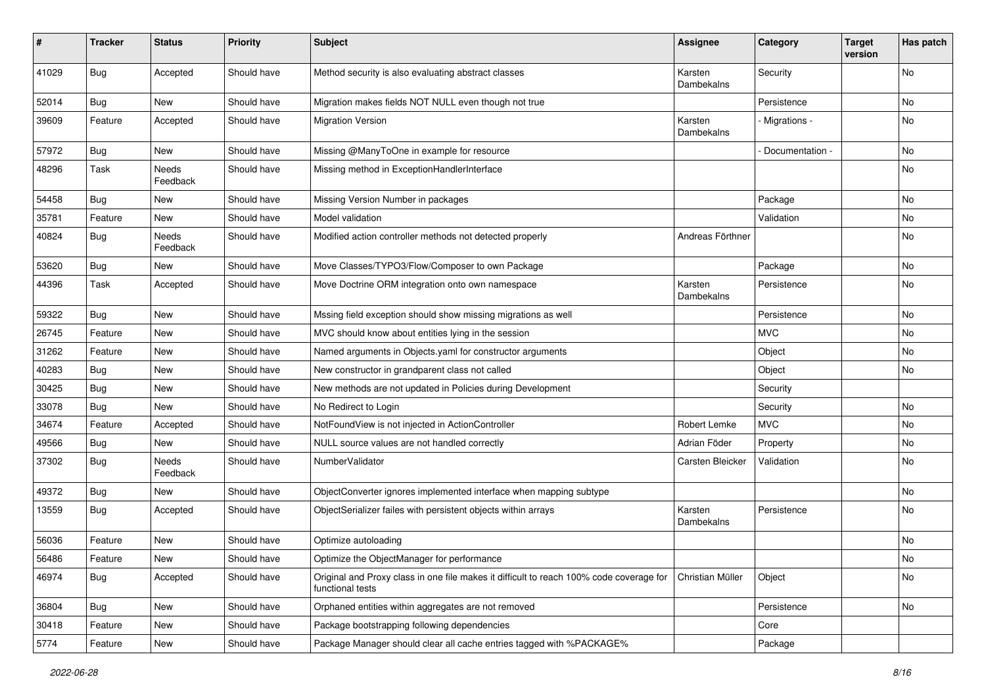| $\sharp$ | <b>Tracker</b> | <b>Status</b>     | <b>Priority</b> | <b>Subject</b>                                                                                              | <b>Assignee</b>       | Category        | <b>Target</b><br>version | Has patch |
|----------|----------------|-------------------|-----------------|-------------------------------------------------------------------------------------------------------------|-----------------------|-----------------|--------------------------|-----------|
| 41029    | Bug            | Accepted          | Should have     | Method security is also evaluating abstract classes                                                         | Karsten<br>Dambekalns | Security        |                          | No        |
| 52014    | Bug            | New               | Should have     | Migration makes fields NOT NULL even though not true                                                        |                       | Persistence     |                          | No        |
| 39609    | Feature        | Accepted          | Should have     | <b>Migration Version</b>                                                                                    | Karsten<br>Dambekalns | - Migrations -  |                          | No        |
| 57972    | <b>Bug</b>     | New               | Should have     | Missing @ManyToOne in example for resource                                                                  |                       | Documentation - |                          | No        |
| 48296    | Task           | Needs<br>Feedback | Should have     | Missing method in ExceptionHandlerInterface                                                                 |                       |                 |                          | No        |
| 54458    | <b>Bug</b>     | New               | Should have     | Missing Version Number in packages                                                                          |                       | Package         |                          | No        |
| 35781    | Feature        | New               | Should have     | Model validation                                                                                            |                       | Validation      |                          | No        |
| 40824    | <b>Bug</b>     | Needs<br>Feedback | Should have     | Modified action controller methods not detected properly                                                    | Andreas Förthner      |                 |                          | No        |
| 53620    | Bug            | New               | Should have     | Move Classes/TYPO3/Flow/Composer to own Package                                                             |                       | Package         |                          | No        |
| 44396    | Task           | Accepted          | Should have     | Move Doctrine ORM integration onto own namespace                                                            | Karsten<br>Dambekalns | Persistence     |                          | No        |
| 59322    | Bug            | New               | Should have     | Mssing field exception should show missing migrations as well                                               |                       | Persistence     |                          | No        |
| 26745    | Feature        | New               | Should have     | MVC should know about entities lying in the session                                                         |                       | <b>MVC</b>      |                          | No        |
| 31262    | Feature        | New               | Should have     | Named arguments in Objects yaml for constructor arguments                                                   |                       | Object          |                          | No        |
| 40283    | <b>Bug</b>     | New               | Should have     | New constructor in grandparent class not called                                                             |                       | Object          |                          | No        |
| 30425    | Bug            | New               | Should have     | New methods are not updated in Policies during Development                                                  |                       | Security        |                          |           |
| 33078    | <b>Bug</b>     | New               | Should have     | No Redirect to Login                                                                                        |                       | Security        |                          | No        |
| 34674    | Feature        | Accepted          | Should have     | NotFoundView is not injected in ActionController                                                            | Robert Lemke          | <b>MVC</b>      |                          | No        |
| 49566    | <b>Bug</b>     | New               | Should have     | NULL source values are not handled correctly                                                                | Adrian Föder          | Property        |                          | No        |
| 37302    | Bug            | Needs<br>Feedback | Should have     | NumberValidator                                                                                             | Carsten Bleicker      | Validation      |                          | No        |
| 49372    | <b>Bug</b>     | New               | Should have     | ObjectConverter ignores implemented interface when mapping subtype                                          |                       |                 |                          | No        |
| 13559    | Bug            | Accepted          | Should have     | ObjectSerializer failes with persistent objects within arrays                                               | Karsten<br>Dambekalns | Persistence     |                          | No        |
| 56036    | Feature        | New               | Should have     | Optimize autoloading                                                                                        |                       |                 |                          | No        |
| 56486    | Feature        | New               | Should have     | Optimize the ObjectManager for performance                                                                  |                       |                 |                          | No        |
| 46974    | <b>Bug</b>     | Accepted          | Should have     | Original and Proxy class in one file makes it difficult to reach 100% code coverage for<br>functional tests | Christian Müller      | Object          |                          | No        |
| 36804    | <b>Bug</b>     | New               | Should have     | Orphaned entities within aggregates are not removed                                                         |                       | Persistence     |                          | No        |
| 30418    | Feature        | New               | Should have     | Package bootstrapping following dependencies                                                                |                       | Core            |                          |           |
| 5774     | Feature        | New               | Should have     | Package Manager should clear all cache entries tagged with %PACKAGE%                                        |                       | Package         |                          |           |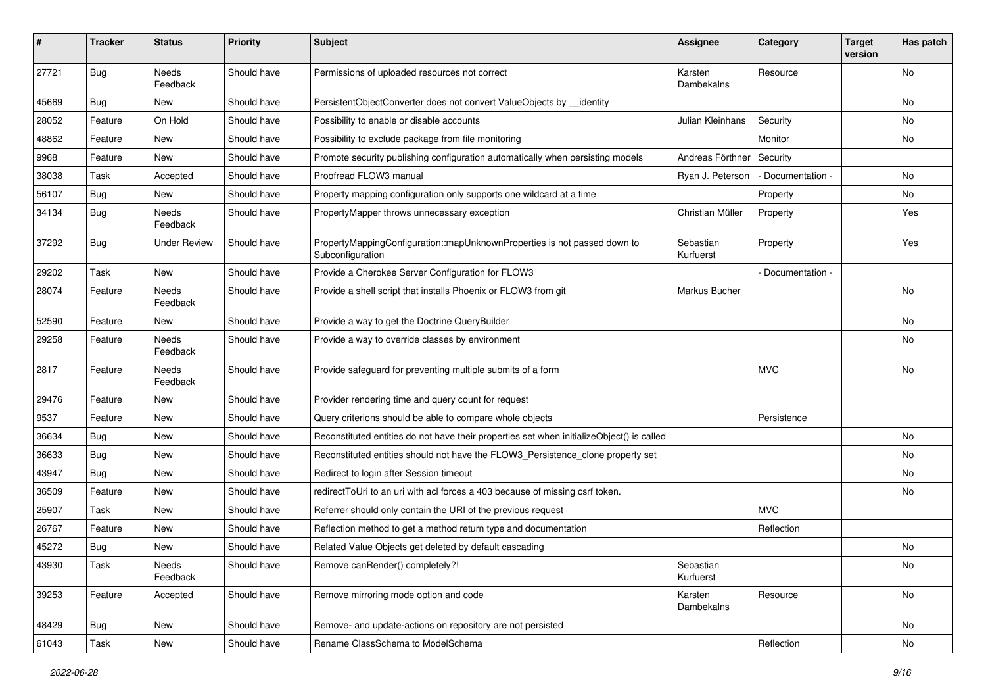| #     | <b>Tracker</b> | <b>Status</b>            | <b>Priority</b> | <b>Subject</b>                                                                               | Assignee               | Category          | <b>Target</b><br>version | Has patch |
|-------|----------------|--------------------------|-----------------|----------------------------------------------------------------------------------------------|------------------------|-------------------|--------------------------|-----------|
| 27721 | Bug            | Needs<br>Feedback        | Should have     | Permissions of uploaded resources not correct                                                | Karsten<br>Dambekalns  | Resource          |                          | No        |
| 45669 | Bug            | New                      | Should have     | PersistentObjectConverter does not convert ValueObjects by __identity                        |                        |                   |                          | No        |
| 28052 | Feature        | On Hold                  | Should have     | Possibility to enable or disable accounts                                                    | Julian Kleinhans       | Security          |                          | No        |
| 48862 | Feature        | New                      | Should have     | Possibility to exclude package from file monitoring                                          |                        | Monitor           |                          | No        |
| 9968  | Feature        | New                      | Should have     | Promote security publishing configuration automatically when persisting models               | Andreas Förthner       | Security          |                          |           |
| 38038 | Task           | Accepted                 | Should have     | Proofread FLOW3 manual                                                                       | Ryan J. Peterson       | - Documentation - |                          | No        |
| 56107 | Bug            | New                      | Should have     | Property mapping configuration only supports one wildcard at a time                          |                        | Property          |                          | No        |
| 34134 | Bug            | Needs<br>Feedback        | Should have     | PropertyMapper throws unnecessary exception                                                  | Christian Müller       | Property          |                          | Yes       |
| 37292 | Bug            | <b>Under Review</b>      | Should have     | PropertyMappingConfiguration::mapUnknownProperties is not passed down to<br>Subconfiguration | Sebastian<br>Kurfuerst | Property          |                          | Yes       |
| 29202 | Task           | <b>New</b>               | Should have     | Provide a Cherokee Server Configuration for FLOW3                                            |                        | Documentation -   |                          |           |
| 28074 | Feature        | <b>Needs</b><br>Feedback | Should have     | Provide a shell script that installs Phoenix or FLOW3 from git                               | Markus Bucher          |                   |                          | No        |
| 52590 | Feature        | <b>New</b>               | Should have     | Provide a way to get the Doctrine QueryBuilder                                               |                        |                   |                          | No        |
| 29258 | Feature        | <b>Needs</b><br>Feedback | Should have     | Provide a way to override classes by environment                                             |                        |                   |                          | No        |
| 2817  | Feature        | Needs<br>Feedback        | Should have     | Provide safeguard for preventing multiple submits of a form                                  |                        | <b>MVC</b>        |                          | No        |
| 29476 | Feature        | New                      | Should have     | Provider rendering time and query count for request                                          |                        |                   |                          |           |
| 9537  | Feature        | New                      | Should have     | Query criterions should be able to compare whole objects                                     |                        | Persistence       |                          |           |
| 36634 | Bug            | New                      | Should have     | Reconstituted entities do not have their properties set when initializeObject() is called    |                        |                   |                          | No        |
| 36633 | Bug            | New                      | Should have     | Reconstituted entities should not have the FLOW3_Persistence_clone property set              |                        |                   |                          | No        |
| 43947 | Bug            | New                      | Should have     | Redirect to login after Session timeout                                                      |                        |                   |                          | No        |
| 36509 | Feature        | New                      | Should have     | redirectToUri to an uri with acl forces a 403 because of missing csrf token.                 |                        |                   |                          | No        |
| 25907 | Task           | New                      | Should have     | Referrer should only contain the URI of the previous request                                 |                        | <b>MVC</b>        |                          |           |
| 26767 | Feature        | New                      | Should have     | Reflection method to get a method return type and documentation                              |                        | Reflection        |                          |           |
| 45272 | Bug            | New                      | Should have     | Related Value Objects get deleted by default cascading                                       |                        |                   |                          | No        |
| 43930 | Task           | Needs<br>Feedback        | Should have     | Remove canRender() completely?!                                                              | Sebastian<br>Kurfuerst |                   |                          | No        |
| 39253 | Feature        | Accepted                 | Should have     | Remove mirroring mode option and code                                                        | Karsten<br>Dambekalns  | Resource          |                          | No        |
| 48429 | Bug            | New                      | Should have     | Remove- and update-actions on repository are not persisted                                   |                        |                   |                          | No        |
| 61043 | Task           | New                      | Should have     | Rename ClassSchema to ModelSchema                                                            |                        | Reflection        |                          | No        |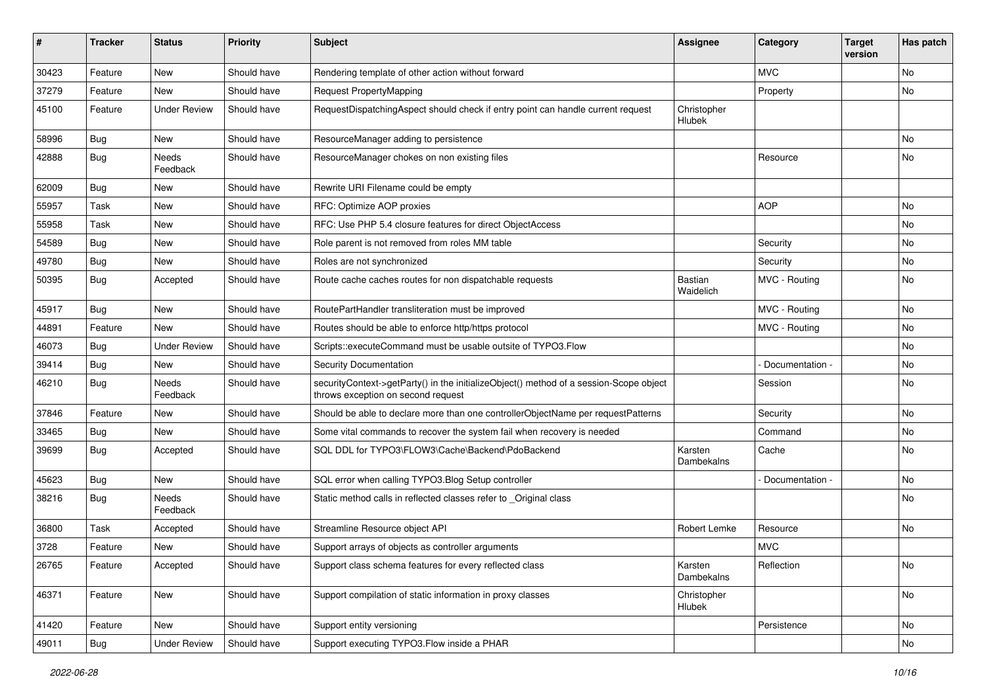| ∦     | <b>Tracker</b> | <b>Status</b>            | <b>Priority</b> | Subject                                                                                                                      | Assignee                     | Category        | <b>Target</b><br>version | Has patch |
|-------|----------------|--------------------------|-----------------|------------------------------------------------------------------------------------------------------------------------------|------------------------------|-----------------|--------------------------|-----------|
| 30423 | Feature        | New                      | Should have     | Rendering template of other action without forward                                                                           |                              | <b>MVC</b>      |                          | <b>No</b> |
| 37279 | Feature        | New                      | Should have     | <b>Request PropertyMapping</b>                                                                                               |                              | Property        |                          | No        |
| 45100 | Feature        | <b>Under Review</b>      | Should have     | RequestDispatchingAspect should check if entry point can handle current request                                              | Christopher<br>Hlubek        |                 |                          |           |
| 58996 | Bug            | New                      | Should have     | ResourceManager adding to persistence                                                                                        |                              |                 |                          | No        |
| 42888 | Bug            | <b>Needs</b><br>Feedback | Should have     | ResourceManager chokes on non existing files                                                                                 |                              | Resource        |                          | <b>No</b> |
| 62009 | Bug            | New                      | Should have     | Rewrite URI Filename could be empty                                                                                          |                              |                 |                          |           |
| 55957 | Task           | New                      | Should have     | RFC: Optimize AOP proxies                                                                                                    |                              | <b>AOP</b>      |                          | No        |
| 55958 | Task           | <b>New</b>               | Should have     | RFC: Use PHP 5.4 closure features for direct ObjectAccess                                                                    |                              |                 |                          | No        |
| 54589 | <b>Bug</b>     | New                      | Should have     | Role parent is not removed from roles MM table                                                                               |                              | Security        |                          | No        |
| 49780 | <b>Bug</b>     | <b>New</b>               | Should have     | Roles are not synchronized                                                                                                   |                              | Security        |                          | <b>No</b> |
| 50395 | Bug            | Accepted                 | Should have     | Route cache caches routes for non dispatchable requests                                                                      | <b>Bastian</b><br>Waidelich  | MVC - Routing   |                          | <b>No</b> |
| 45917 | Bug            | New                      | Should have     | RoutePartHandler transliteration must be improved                                                                            |                              | MVC - Routing   |                          | No        |
| 44891 | Feature        | <b>New</b>               | Should have     | Routes should be able to enforce http/https protocol                                                                         |                              | MVC - Routing   |                          | No        |
| 46073 | Bug            | <b>Under Review</b>      | Should have     | Scripts::executeCommand must be usable outsite of TYPO3.Flow                                                                 |                              |                 |                          | No        |
| 39414 | <b>Bug</b>     | <b>New</b>               | Should have     | <b>Security Documentation</b>                                                                                                |                              | Documentation - |                          | No        |
| 46210 | <b>Bug</b>     | <b>Needs</b><br>Feedback | Should have     | securityContext->getParty() in the initializeObject() method of a session-Scope object<br>throws exception on second request |                              | Session         |                          | No        |
| 37846 | Feature        | New                      | Should have     | Should be able to declare more than one controllerObjectName per requestPatterns                                             |                              | Security        |                          | No        |
| 33465 | Bug            | <b>New</b>               | Should have     | Some vital commands to recover the system fail when recovery is needed                                                       |                              | Command         |                          | <b>No</b> |
| 39699 | Bug            | Accepted                 | Should have     | SQL DDL for TYPO3\FLOW3\Cache\Backend\PdoBackend                                                                             | Karsten<br>Dambekalns        | Cache           |                          | No        |
| 45623 | <b>Bug</b>     | New                      | Should have     | SQL error when calling TYPO3.Blog Setup controller                                                                           |                              | Documentation - |                          | No        |
| 38216 | <b>Bug</b>     | Needs<br>Feedback        | Should have     | Static method calls in reflected classes refer to _Original class                                                            |                              |                 |                          | <b>No</b> |
| 36800 | Task           | Accepted                 | Should have     | Streamline Resource object API                                                                                               | Robert Lemke                 | Resource        |                          | <b>No</b> |
| 3728  | Feature        | New                      | Should have     | Support arrays of objects as controller arguments                                                                            |                              | <b>MVC</b>      |                          |           |
| 26765 | Feature        | Accepted                 | Should have     | Support class schema features for every reflected class                                                                      | Karsten<br><b>Dambekalns</b> | Reflection      |                          | No        |
| 46371 | Feature        | New                      | Should have     | Support compilation of static information in proxy classes                                                                   | Christopher<br>Hlubek        |                 |                          | No        |
| 41420 | Feature        | New                      | Should have     | Support entity versioning                                                                                                    |                              | Persistence     |                          | No        |
| 49011 | Bug            | <b>Under Review</b>      | Should have     | Support executing TYPO3. Flow inside a PHAR                                                                                  |                              |                 |                          | No        |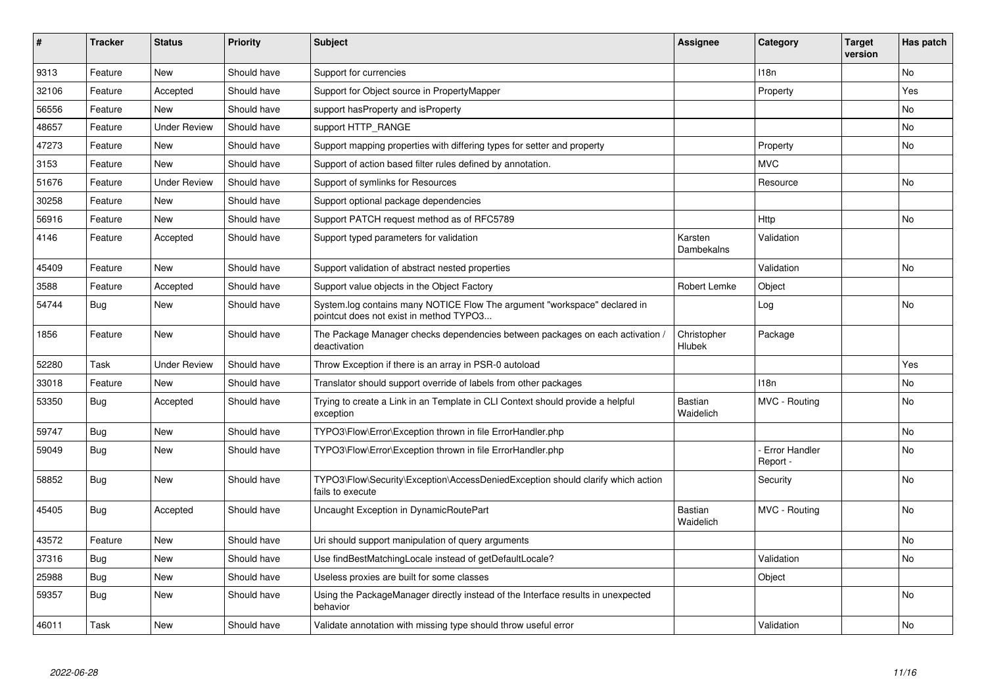| #     | <b>Tracker</b> | <b>Status</b>       | <b>Priority</b> | <b>Subject</b>                                                                                                       | Assignee                     | Category                  | <b>Target</b><br>version | Has patch |
|-------|----------------|---------------------|-----------------|----------------------------------------------------------------------------------------------------------------------|------------------------------|---------------------------|--------------------------|-----------|
| 9313  | Feature        | <b>New</b>          | Should have     | Support for currencies                                                                                               |                              | 118n                      |                          | <b>No</b> |
| 32106 | Feature        | Accepted            | Should have     | Support for Object source in PropertyMapper                                                                          |                              | Property                  |                          | Yes       |
| 56556 | Feature        | <b>New</b>          | Should have     | support has Property and is Property                                                                                 |                              |                           |                          | No        |
| 48657 | Feature        | <b>Under Review</b> | Should have     | support HTTP_RANGE                                                                                                   |                              |                           |                          | No        |
| 47273 | Feature        | <b>New</b>          | Should have     | Support mapping properties with differing types for setter and property                                              |                              | Property                  |                          | <b>No</b> |
| 3153  | Feature        | New                 | Should have     | Support of action based filter rules defined by annotation.                                                          |                              | <b>MVC</b>                |                          |           |
| 51676 | Feature        | <b>Under Review</b> | Should have     | Support of symlinks for Resources                                                                                    |                              | Resource                  |                          | No        |
| 30258 | Feature        | <b>New</b>          | Should have     | Support optional package dependencies                                                                                |                              |                           |                          |           |
| 56916 | Feature        | New                 | Should have     | Support PATCH request method as of RFC5789                                                                           |                              | Http                      |                          | <b>No</b> |
| 4146  | Feature        | Accepted            | Should have     | Support typed parameters for validation                                                                              | Karsten<br>Dambekalns        | Validation                |                          |           |
| 45409 | Feature        | <b>New</b>          | Should have     | Support validation of abstract nested properties                                                                     |                              | Validation                |                          | <b>No</b> |
| 3588  | Feature        | Accepted            | Should have     | Support value objects in the Object Factory                                                                          | <b>Robert Lemke</b>          | Object                    |                          |           |
| 54744 | Bug            | New                 | Should have     | System.log contains many NOTICE Flow The argument "workspace" declared in<br>pointcut does not exist in method TYPO3 |                              | Log                       |                          | No        |
| 1856  | Feature        | <b>New</b>          | Should have     | The Package Manager checks dependencies between packages on each activation,<br>deactivation                         | Christopher<br><b>Hlubek</b> | Package                   |                          |           |
| 52280 | Task           | <b>Under Review</b> | Should have     | Throw Exception if there is an array in PSR-0 autoload                                                               |                              |                           |                          | Yes       |
| 33018 | Feature        | New                 | Should have     | Translator should support override of labels from other packages                                                     |                              | 118n                      |                          | No        |
| 53350 | <b>Bug</b>     | Accepted            | Should have     | Trying to create a Link in an Template in CLI Context should provide a helpful<br>exception                          | Bastian<br>Waidelich         | MVC - Routing             |                          | <b>No</b> |
| 59747 | <b>Bug</b>     | <b>New</b>          | Should have     | TYPO3\Flow\Error\Exception thrown in file ErrorHandler.php                                                           |                              |                           |                          | <b>No</b> |
| 59049 | <b>Bug</b>     | <b>New</b>          | Should have     | TYPO3\Flow\Error\Exception thrown in file ErrorHandler.php                                                           |                              | Error Handler<br>Report - |                          | No        |
| 58852 | <b>Bug</b>     | <b>New</b>          | Should have     | TYPO3\Flow\Security\Exception\AccessDeniedException should clarify which action<br>fails to execute                  |                              | Security                  |                          | <b>No</b> |
| 45405 | <b>Bug</b>     | Accepted            | Should have     | Uncaught Exception in DynamicRoutePart                                                                               | Bastian<br>Waidelich         | MVC - Routing             |                          | No        |
| 43572 | Feature        | <b>New</b>          | Should have     | Uri should support manipulation of query arguments                                                                   |                              |                           |                          | <b>No</b> |
| 37316 | Bug            | <b>New</b>          | Should have     | Use findBestMatchingLocale instead of getDefaultLocale?                                                              |                              | Validation                |                          | No        |
| 25988 | Bug            | New                 | Should have     | Useless proxies are built for some classes                                                                           |                              | Object                    |                          |           |
| 59357 | <b>Bug</b>     | New                 | Should have     | Using the PackageManager directly instead of the Interface results in unexpected<br>behavior                         |                              |                           |                          | No        |
| 46011 | Task           | <b>New</b>          | Should have     | Validate annotation with missing type should throw useful error                                                      |                              | Validation                |                          | <b>No</b> |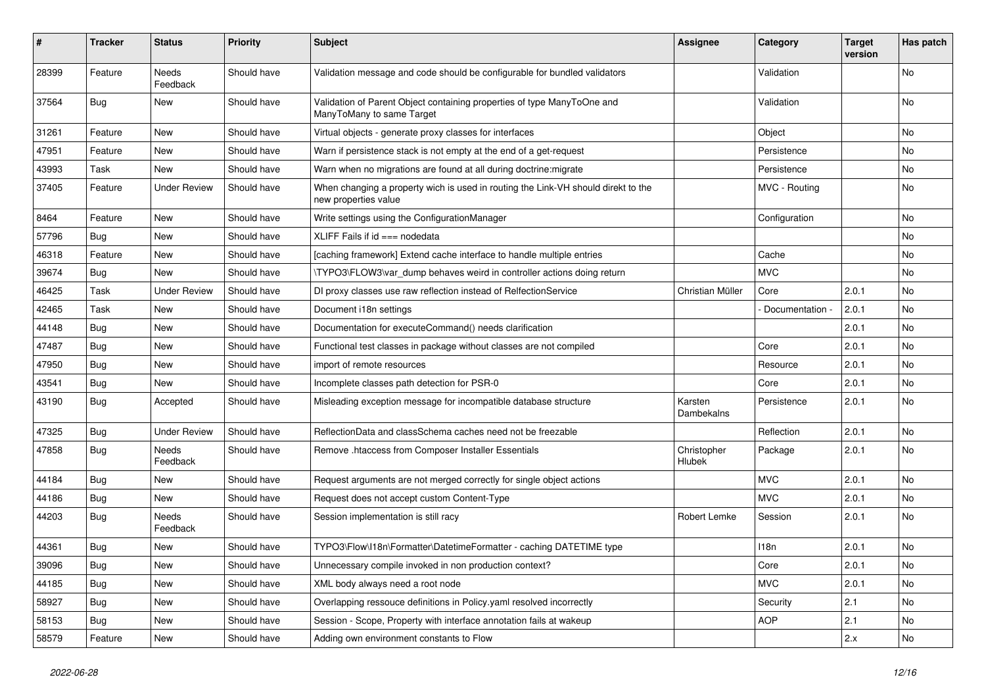| #     | Tracker    | <b>Status</b>            | <b>Priority</b> | <b>Subject</b>                                                                                            | <b>Assignee</b>       | Category          | <b>Target</b><br>version | Has patch |
|-------|------------|--------------------------|-----------------|-----------------------------------------------------------------------------------------------------------|-----------------------|-------------------|--------------------------|-----------|
| 28399 | Feature    | <b>Needs</b><br>Feedback | Should have     | Validation message and code should be configurable for bundled validators                                 |                       | Validation        |                          | No        |
| 37564 | Bug        | New                      | Should have     | Validation of Parent Object containing properties of type ManyToOne and<br>ManyToMany to same Target      |                       | Validation        |                          | No.       |
| 31261 | Feature    | New                      | Should have     | Virtual objects - generate proxy classes for interfaces                                                   |                       | Object            |                          | No        |
| 47951 | Feature    | <b>New</b>               | Should have     | Warn if persistence stack is not empty at the end of a get-request                                        |                       | Persistence       |                          | <b>No</b> |
| 43993 | Task       | New                      | Should have     | Warn when no migrations are found at all during doctrine: migrate                                         |                       | Persistence       |                          | No        |
| 37405 | Feature    | <b>Under Review</b>      | Should have     | When changing a property wich is used in routing the Link-VH should direkt to the<br>new properties value |                       | MVC - Routing     |                          | No        |
| 8464  | Feature    | New                      | Should have     | Write settings using the ConfigurationManager                                                             |                       | Configuration     |                          | No.       |
| 57796 | Bug        | New                      | Should have     | XLIFF Fails if $id ==$ nodedata                                                                           |                       |                   |                          | No        |
| 46318 | Feature    | New                      | Should have     | [caching framework] Extend cache interface to handle multiple entries                                     |                       | Cache             |                          | No        |
| 39674 | <b>Bug</b> | New                      | Should have     | \TYPO3\FLOW3\var dump behaves weird in controller actions doing return                                    |                       | <b>MVC</b>        |                          | No        |
| 46425 | Task       | <b>Under Review</b>      | Should have     | DI proxy classes use raw reflection instead of RelfectionService                                          | Christian Müller      | Core              | 2.0.1                    | <b>No</b> |
| 42465 | Task       | New                      | Should have     | Document i18n settings                                                                                    |                       | - Documentation - | 2.0.1                    | No        |
| 44148 | <b>Bug</b> | New                      | Should have     | Documentation for executeCommand() needs clarification                                                    |                       |                   | 2.0.1                    | <b>No</b> |
| 47487 | Bug        | New                      | Should have     | Functional test classes in package without classes are not compiled                                       |                       | Core              | 2.0.1                    | No        |
| 47950 | <b>Bug</b> | <b>New</b>               | Should have     | import of remote resources                                                                                |                       | Resource          | 2.0.1                    | No.       |
| 43541 | Bug        | New                      | Should have     | Incomplete classes path detection for PSR-0                                                               |                       | Core              | 2.0.1                    | No        |
| 43190 | Bug        | Accepted                 | Should have     | Misleading exception message for incompatible database structure                                          | Karsten<br>Dambekalns | Persistence       | 2.0.1                    | No        |
| 47325 | <b>Bug</b> | <b>Under Review</b>      | Should have     | ReflectionData and classSchema caches need not be freezable                                               |                       | Reflection        | 2.0.1                    | <b>No</b> |
| 47858 | Bug        | Needs<br>Feedback        | Should have     | Remove .htaccess from Composer Installer Essentials                                                       | Christopher<br>Hlubek | Package           | 2.0.1                    | No        |
| 44184 | Bug        | New                      | Should have     | Request arguments are not merged correctly for single object actions                                      |                       | <b>MVC</b>        | 2.0.1                    | No        |
| 44186 | <b>Bug</b> | New                      | Should have     | Request does not accept custom Content-Type                                                               |                       | <b>MVC</b>        | 2.0.1                    | No        |
| 44203 | Bug        | Needs<br>Feedback        | Should have     | Session implementation is still racy                                                                      | Robert Lemke          | Session           | 2.0.1                    | No.       |
| 44361 | <b>Bug</b> | New                      | Should have     | TYPO3\Flow\I18n\Formatter\DatetimeFormatter - caching DATETIME type                                       |                       | 118n              | 2.0.1                    | <b>No</b> |
| 39096 | <b>Bug</b> | New                      | Should have     | Unnecessary compile invoked in non production context?                                                    |                       | Core              | 2.0.1                    | No        |
| 44185 | Bug        | New                      | Should have     | XML body always need a root node                                                                          |                       | <b>MVC</b>        | 2.0.1                    | No        |
| 58927 | <b>Bug</b> | New                      | Should have     | Overlapping ressouce definitions in Policy.yaml resolved incorrectly                                      |                       | Security          | 2.1                      | No        |
| 58153 | Bug        | New                      | Should have     | Session - Scope, Property with interface annotation fails at wakeup                                       |                       | AOP               | 2.1                      | No        |
| 58579 | Feature    | New                      | Should have     | Adding own environment constants to Flow                                                                  |                       |                   | 2.x                      | No        |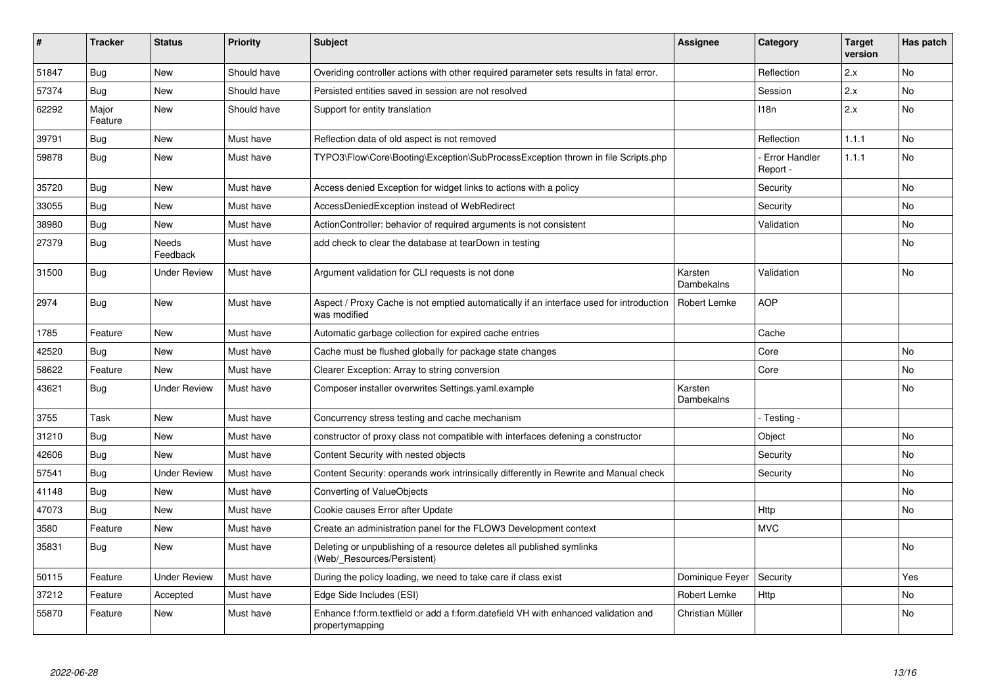| #     | <b>Tracker</b>   | <b>Status</b>            | <b>Priority</b> | <b>Subject</b>                                                                                          | <b>Assignee</b>       | Category                         | <b>Target</b><br>version | Has patch |
|-------|------------------|--------------------------|-----------------|---------------------------------------------------------------------------------------------------------|-----------------------|----------------------------------|--------------------------|-----------|
| 51847 | <b>Bug</b>       | <b>New</b>               | Should have     | Overiding controller actions with other required parameter sets results in fatal error.                 |                       | Reflection                       | 2.x                      | <b>No</b> |
| 57374 | Bug              | <b>New</b>               | Should have     | Persisted entities saved in session are not resolved                                                    |                       | Session                          | 2.x                      | No        |
| 62292 | Major<br>Feature | <b>New</b>               | Should have     | Support for entity translation                                                                          |                       | 118n                             | 2.x                      | <b>No</b> |
| 39791 | Bug              | <b>New</b>               | Must have       | Reflection data of old aspect is not removed                                                            |                       | Reflection                       | 1.1.1                    | <b>No</b> |
| 59878 | Bug              | <b>New</b>               | Must have       | TYPO3\Flow\Core\Booting\Exception\SubProcessException thrown in file Scripts.php                        |                       | <b>Error Handler</b><br>Report - | 1.1.1                    | <b>No</b> |
| 35720 | Bug              | <b>New</b>               | Must have       | Access denied Exception for widget links to actions with a policy                                       |                       | Security                         |                          | <b>No</b> |
| 33055 | <b>Bug</b>       | <b>New</b>               | Must have       | AccessDeniedException instead of WebRedirect                                                            |                       | Security                         |                          | <b>No</b> |
| 38980 | Bug              | New                      | Must have       | ActionController: behavior of required arguments is not consistent                                      |                       | Validation                       |                          | No        |
| 27379 | Bug              | <b>Needs</b><br>Feedback | Must have       | add check to clear the database at tearDown in testing                                                  |                       |                                  |                          | <b>No</b> |
| 31500 | Bug              | <b>Under Review</b>      | Must have       | Argument validation for CLI requests is not done                                                        | Karsten<br>Dambekalns | Validation                       |                          | No        |
| 2974  | <b>Bug</b>       | <b>New</b>               | Must have       | Aspect / Proxy Cache is not emptied automatically if an interface used for introduction<br>was modified | <b>Robert Lemke</b>   | <b>AOP</b>                       |                          |           |
| 1785  | Feature          | <b>New</b>               | Must have       | Automatic garbage collection for expired cache entries                                                  |                       | Cache                            |                          |           |
| 42520 | Bug              | <b>New</b>               | Must have       | Cache must be flushed globally for package state changes                                                |                       | Core                             |                          | No        |
| 58622 | Feature          | <b>New</b>               | Must have       | Clearer Exception: Array to string conversion                                                           |                       | Core                             |                          | No        |
| 43621 | <b>Bug</b>       | <b>Under Review</b>      | Must have       | Composer installer overwrites Settings.yaml.example                                                     | Karsten<br>Dambekalns |                                  |                          | <b>No</b> |
| 3755  | Task             | <b>New</b>               | Must have       | Concurrency stress testing and cache mechanism                                                          |                       | - Testing <sub>'</sub>           |                          |           |
| 31210 | Bug              | <b>New</b>               | Must have       | constructor of proxy class not compatible with interfaces defening a constructor                        |                       | Object                           |                          | <b>No</b> |
| 42606 | <b>Bug</b>       | <b>New</b>               | Must have       | Content Security with nested objects                                                                    |                       | Security                         |                          | No        |
| 57541 | Bug              | <b>Under Review</b>      | Must have       | Content Security: operands work intrinsically differently in Rewrite and Manual check                   |                       | Security                         |                          | No        |
| 41148 | <b>Bug</b>       | <b>New</b>               | Must have       | Converting of ValueObjects                                                                              |                       |                                  |                          | No        |
| 47073 | Bug              | <b>New</b>               | Must have       | Cookie causes Error after Update                                                                        |                       | Http                             |                          | No        |
| 3580  | Feature          | <b>New</b>               | Must have       | Create an administration panel for the FLOW3 Development context                                        |                       | <b>MVC</b>                       |                          |           |
| 35831 | <b>Bug</b>       | <b>New</b>               | Must have       | Deleting or unpublishing of a resource deletes all published symlinks<br>(Web/ Resources/Persistent)    |                       |                                  |                          | No        |
| 50115 | Feature          | <b>Under Review</b>      | Must have       | During the policy loading, we need to take care if class exist                                          | Dominique Feyer       | Security                         |                          | Yes       |
| 37212 | Feature          | Accepted                 | Must have       | Edge Side Includes (ESI)                                                                                | Robert Lemke          | Http                             |                          | No        |
| 55870 | Feature          | <b>New</b>               | Must have       | Enhance f:form.textfield or add a f:form.datefield VH with enhanced validation and<br>propertymapping   | Christian Müller      |                                  |                          | <b>No</b> |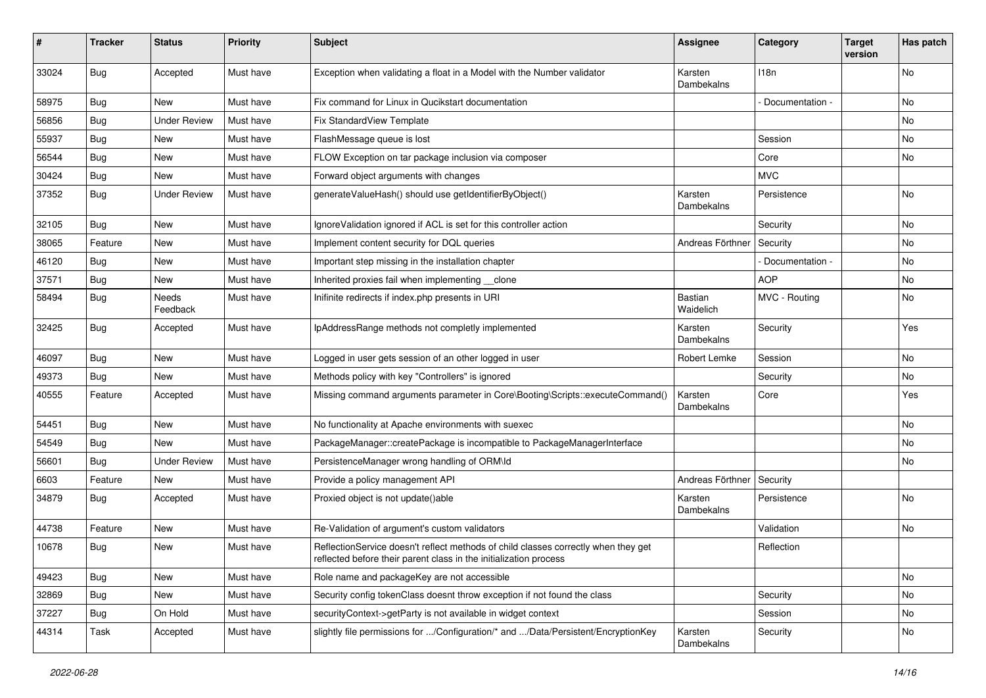| #     | <b>Tracker</b> | <b>Status</b>            | <b>Priority</b> | <b>Subject</b>                                                                                                                                          | <b>Assignee</b>       | Category        | <b>Target</b><br>version | Has patch |
|-------|----------------|--------------------------|-----------------|---------------------------------------------------------------------------------------------------------------------------------------------------------|-----------------------|-----------------|--------------------------|-----------|
| 33024 | <b>Bug</b>     | Accepted                 | Must have       | Exception when validating a float in a Model with the Number validator                                                                                  | Karsten<br>Dambekalns | 118n            |                          | No        |
| 58975 | <b>Bug</b>     | New                      | Must have       | Fix command for Linux in Qucikstart documentation                                                                                                       |                       | Documentation - |                          | No        |
| 56856 | <b>Bug</b>     | <b>Under Review</b>      | Must have       | Fix StandardView Template                                                                                                                               |                       |                 |                          | No        |
| 55937 | Bug            | New                      | Must have       | FlashMessage queue is lost                                                                                                                              |                       | Session         |                          | No        |
| 56544 | <b>Bug</b>     | New                      | Must have       | FLOW Exception on tar package inclusion via composer                                                                                                    |                       | Core            |                          | No.       |
| 30424 | <b>Bug</b>     | New                      | Must have       | Forward object arguments with changes                                                                                                                   |                       | <b>MVC</b>      |                          |           |
| 37352 | <b>Bug</b>     | <b>Under Review</b>      | Must have       | generateValueHash() should use getIdentifierByObject()                                                                                                  | Karsten<br>Dambekalns | Persistence     |                          | No        |
| 32105 | Bug            | New                      | Must have       | Ignore Validation ignored if ACL is set for this controller action                                                                                      |                       | Security        |                          | No        |
| 38065 | Feature        | <b>New</b>               | Must have       | Implement content security for DQL queries                                                                                                              | Andreas Förthner      | Security        |                          | No        |
| 46120 | <b>Bug</b>     | <b>New</b>               | Must have       | Important step missing in the installation chapter                                                                                                      |                       | Documentation - |                          | No        |
| 37571 | Bug            | New                      | Must have       | Inherited proxies fail when implementing clone                                                                                                          |                       | <b>AOP</b>      |                          | No        |
| 58494 | <b>Bug</b>     | <b>Needs</b><br>Feedback | Must have       | Inifinite redirects if index.php presents in URI                                                                                                        | Bastian<br>Waidelich  | MVC - Routing   |                          | No        |
| 32425 | Bug            | Accepted                 | Must have       | IpAddressRange methods not completly implemented                                                                                                        | Karsten<br>Dambekalns | Security        |                          | Yes       |
| 46097 | <b>Bug</b>     | New                      | Must have       | Logged in user gets session of an other logged in user                                                                                                  | Robert Lemke          | Session         |                          | No        |
| 49373 | <b>Bug</b>     | New                      | Must have       | Methods policy with key "Controllers" is ignored                                                                                                        |                       | Security        |                          | No        |
| 40555 | Feature        | Accepted                 | Must have       | Missing command arguments parameter in Core\Booting\Scripts::executeCommand()                                                                           | Karsten<br>Dambekalns | Core            |                          | Yes       |
| 54451 | <b>Bug</b>     | New                      | Must have       | No functionality at Apache environments with suexec                                                                                                     |                       |                 |                          | No        |
| 54549 | <b>Bug</b>     | New                      | Must have       | PackageManager::createPackage is incompatible to PackageManagerInterface                                                                                |                       |                 |                          | No        |
| 56601 | <b>Bug</b>     | <b>Under Review</b>      | Must have       | PersistenceManager wrong handling of ORM\ld                                                                                                             |                       |                 |                          | No        |
| 6603  | Feature        | New                      | Must have       | Provide a policy management API                                                                                                                         | Andreas Förthner      | Security        |                          |           |
| 34879 | <b>Bug</b>     | Accepted                 | Must have       | Proxied object is not update()able                                                                                                                      | Karsten<br>Dambekalns | Persistence     |                          | No        |
| 44738 | Feature        | <b>New</b>               | Must have       | Re-Validation of argument's custom validators                                                                                                           |                       | Validation      |                          | No        |
| 10678 | <b>Bug</b>     | New                      | Must have       | ReflectionService doesn't reflect methods of child classes correctly when they get<br>reflected before their parent class in the initialization process |                       | Reflection      |                          |           |
| 49423 | Bug            | New                      | Must have       | Role name and packageKey are not accessible                                                                                                             |                       |                 |                          | No        |
| 32869 | Bug            | New                      | Must have       | Security config tokenClass doesnt throw exception if not found the class                                                                                |                       | Security        |                          | No        |
| 37227 | Bug            | On Hold                  | Must have       | securityContext->getParty is not available in widget context                                                                                            |                       | Session         |                          | No        |
| 44314 | Task           | Accepted                 | Must have       | slightly file permissions for /Configuration/* and /Data/Persistent/EncryptionKey                                                                       | Karsten<br>Dambekalns | Security        |                          | No        |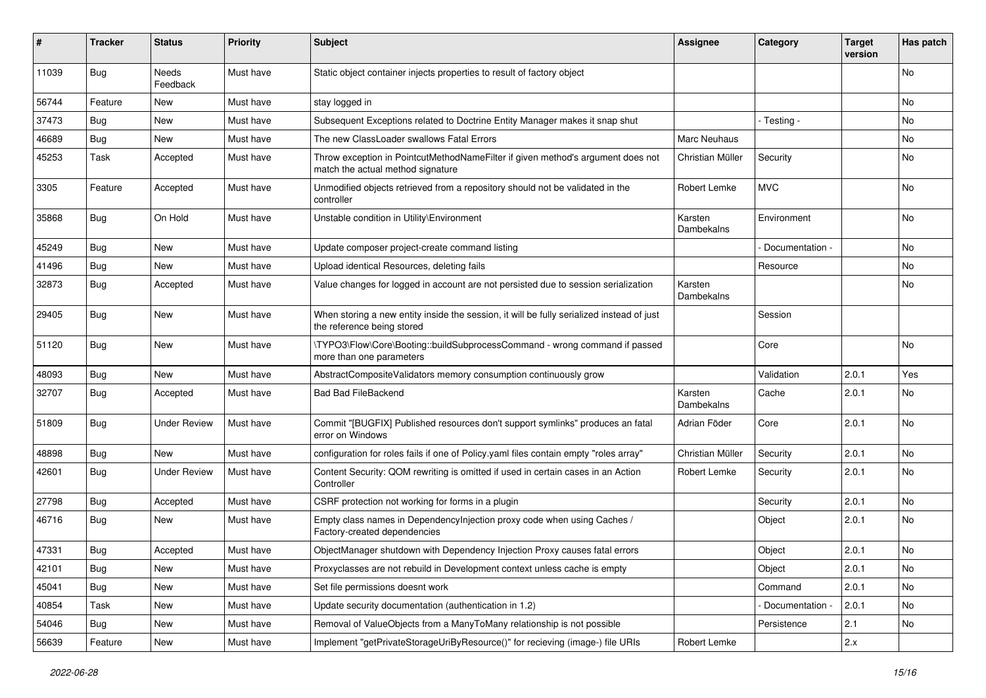| #     | <b>Tracker</b> | <b>Status</b>       | <b>Priority</b> | <b>Subject</b>                                                                                                          | <b>Assignee</b>       | Category          | <b>Target</b><br>version | Has patch |
|-------|----------------|---------------------|-----------------|-------------------------------------------------------------------------------------------------------------------------|-----------------------|-------------------|--------------------------|-----------|
| 11039 | Bug            | Needs<br>Feedback   | Must have       | Static object container injects properties to result of factory object                                                  |                       |                   |                          | <b>No</b> |
| 56744 | Feature        | New                 | Must have       | stay logged in                                                                                                          |                       |                   |                          | No        |
| 37473 | Bug            | <b>New</b>          | Must have       | Subsequent Exceptions related to Doctrine Entity Manager makes it snap shut                                             |                       | - Testing -       |                          | No        |
| 46689 | Bug            | New                 | Must have       | The new ClassLoader swallows Fatal Errors                                                                               | Marc Neuhaus          |                   |                          | No        |
| 45253 | Task           | Accepted            | Must have       | Throw exception in PointcutMethodNameFilter if given method's argument does not<br>match the actual method signature    | Christian Müller      | Security          |                          | No        |
| 3305  | Feature        | Accepted            | Must have       | Unmodified objects retrieved from a repository should not be validated in the<br>controller                             | Robert Lemke          | <b>MVC</b>        |                          | <b>No</b> |
| 35868 | Bug            | On Hold             | Must have       | Unstable condition in Utility\Environment                                                                               | Karsten<br>Dambekalns | Environment       |                          | No        |
| 45249 | Bug            | <b>New</b>          | Must have       | Update composer project-create command listing                                                                          |                       | Documentation -   |                          | <b>No</b> |
| 41496 | Bug            | New                 | Must have       | Upload identical Resources, deleting fails                                                                              |                       | Resource          |                          | No        |
| 32873 | Bug            | Accepted            | Must have       | Value changes for logged in account are not persisted due to session serialization                                      | Karsten<br>Dambekalns |                   |                          | No        |
| 29405 | Bug            | New                 | Must have       | When storing a new entity inside the session, it will be fully serialized instead of just<br>the reference being stored |                       | Session           |                          |           |
| 51120 | Bug            | New                 | Must have       | \TYPO3\Flow\Core\Booting::buildSubprocessCommand - wrong command if passed<br>more than one parameters                  |                       | Core              |                          | <b>No</b> |
| 48093 | Bug            | New                 | Must have       | AbstractCompositeValidators memory consumption continuously grow                                                        |                       | Validation        | 2.0.1                    | Yes       |
| 32707 | <b>Bug</b>     | Accepted            | Must have       | <b>Bad Bad FileBackend</b>                                                                                              | Karsten<br>Dambekalns | Cache             | 2.0.1                    | No        |
| 51809 | Bug            | <b>Under Review</b> | Must have       | Commit "[BUGFIX] Published resources don't support symlinks" produces an fatal<br>error on Windows                      | Adrian Föder          | Core              | 2.0.1                    | <b>No</b> |
| 48898 | Bug            | New                 | Must have       | configuration for roles fails if one of Policy.yaml files contain empty "roles array"                                   | Christian Müller      | Security          | 2.0.1                    | <b>No</b> |
| 42601 | <b>Bug</b>     | <b>Under Review</b> | Must have       | Content Security: QOM rewriting is omitted if used in certain cases in an Action<br>Controller                          | Robert Lemke          | Security          | 2.0.1                    | No        |
| 27798 | Bug            | Accepted            | Must have       | CSRF protection not working for forms in a plugin                                                                       |                       | Security          | 2.0.1                    | No        |
| 46716 | Bug            | <b>New</b>          | Must have       | Empty class names in Dependencylnjection proxy code when using Caches /<br>Factory-created dependencies                 |                       | Object            | 2.0.1                    | <b>No</b> |
| 47331 | Bug            | Accepted            | Must have       | ObjectManager shutdown with Dependency Injection Proxy causes fatal errors                                              |                       | Object            | 2.0.1                    | No        |
| 42101 | <b>Bug</b>     | New                 | Must have       | Proxyclasses are not rebuild in Development context unless cache is empty                                               |                       | Object            | 2.0.1                    | No        |
| 45041 | <b>Bug</b>     | New                 | Must have       | Set file permissions doesnt work                                                                                        |                       | Command           | 2.0.1                    | No        |
| 40854 | Task           | New                 | Must have       | Update security documentation (authentication in 1.2)                                                                   |                       | - Documentation - | 2.0.1                    | No        |
| 54046 | Bug            | New                 | Must have       | Removal of ValueObjects from a ManyToMany relationship is not possible                                                  |                       | Persistence       | 2.1                      | No        |
| 56639 | Feature        | New                 | Must have       | Implement "getPrivateStorageUriByResource()" for recieving (image-) file URIs                                           | Robert Lemke          |                   | 2.x                      |           |